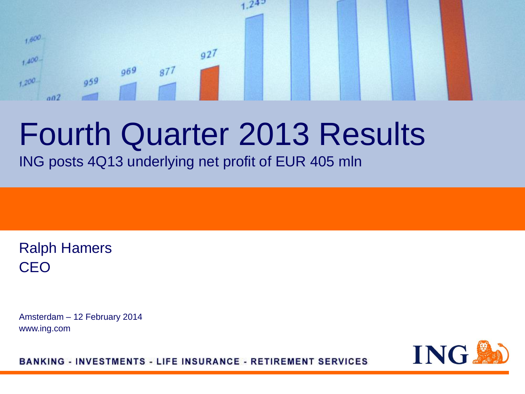### $24^{5}$  $1,600$  $q27$  $1.400 969$  $877$  $959$  $+200$  $002$

# Fourth Quarter 2013 Results

ING posts 4Q13 underlying net profit of EUR 405 mln

Ralph Hamers CEO

Amsterdam – 12 February 2014 www.ing.com

ING.

**BANKING - INVESTMENTS - LIFE INSURANCE - RETIREMENT SERVICES**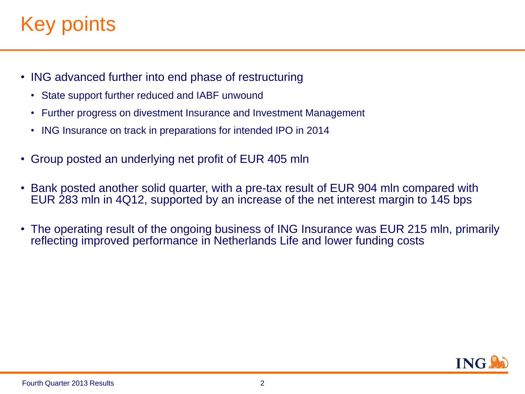## Key points.

- ING advanced further into end phase of restructuring
	- State support further reduced and IABF unwound
	- Further progress on divestment Insurance and Investment Management
	- ING Insurance on track in preparations for intended IPO in 2014
- Group posted an underlying net profit of EUR 405 mln
- Bank posted another solid quarter, with a pre-tax result of EUR 904 mln compared with EUR 283 mln in 4Q12, supported by an increase of the net interest margin to 145 bps
- The operating result of the ongoing business of ING Insurance was EUR 215 mln, primarily reflecting improved performance in Netherlands Life and lower funding costs

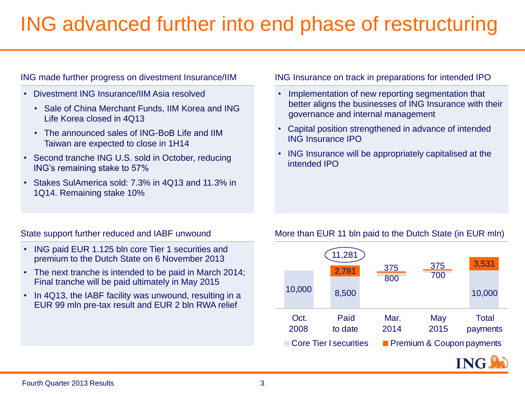## ING advanced further into end phase of restructuring

### ING made further progress on divestment Insurance/IIM

- Divestment ING Insurance/IIM Asia resolved
	- Sale of China Merchant Funds, IIM Korea and ING Life Korea closed in 4Q13
	- The announced sales of ING-BoB Life and IIM Taiwan are expected to close in 1H14
- Second tranche ING U.S. sold in October, reducing ING's remaining stake to 57%
- Stakes SulAmerica sold: 7.3% in 4Q13 and 11.3% in 1Q14. Remaining stake 10%

### ING Insurance on track in preparations for intended IPO

- Implementation of new reporting segmentation that better aligns the businesses of ING Insurance with their governance and internal management
- Capital position strengthened in advance of intended ING Insurance IPO
- ING Insurance will be appropriately capitalised at the intended IPO

### State support further reduced and IABF unwound

- ING paid EUR 1.125 bln core Tier 1 securities and premium to the Dutch State on 6 November 2013
- The next tranche is intended to be paid in March 2014; Final tranche will be paid ultimately in May 2015
- In 4Q13, the IABF facility was unwound, resulting in a EUR 99 mln pre-tax result and EUR 2 bln RWA relief



More than EUR 11 bln paid to the Dutch State (in EUR mln)



### Fourth Quarter 2013 Results 3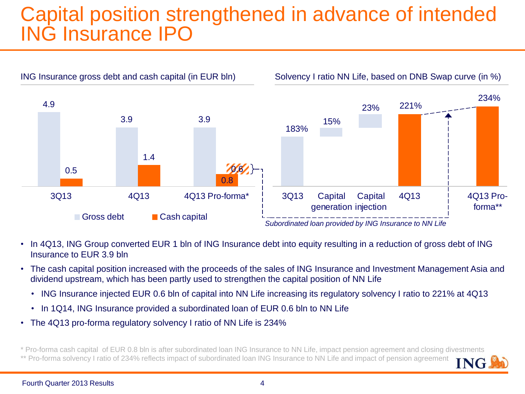## Capital position strengthened in advance of intended ING Insurance IPO



- In 4Q13, ING Group converted EUR 1 bln of ING Insurance debt into equity resulting in a reduction of gross debt of ING Insurance to EUR 3.9 bln
- The cash capital position increased with the proceeds of the sales of ING Insurance and Investment Management Asia and dividend upstream, which has been partly used to strengthen the capital position of NN Life
	- ING Insurance injected EUR 0.6 bln of capital into NN Life increasing its regulatory solvency I ratio to 221% at 4Q13
	- In 1Q14, ING Insurance provided a subordinated loan of EUR 0.6 bln to NN Life
- The 4Q13 pro-forma regulatory solvency I ratio of NN Life is 234%

\* Pro-forma cash capital of EUR 0.8 bln is after subordinated loan ING Insurance to NN Life, impact pension agreement and closing divestments \*\* Pro-forma solvency I ratio of 234% reflects impact of subordinated loan ING Insurance to NN Life and impact of pension agreement **ING**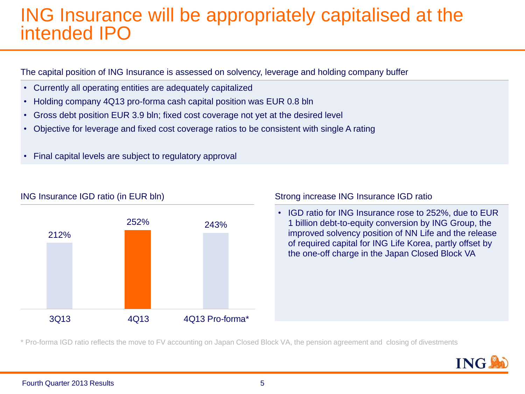### ING Insurance will be appropriately capitalised at the intended IPO

The capital position of ING Insurance is assessed on solvency, leverage and holding company buffer

- Currently all operating entities are adequately capitalized
- Holding company 4Q13 pro-forma cash capital position was EUR 0.8 bln
- Gross debt position EUR 3.9 bln; fixed cost coverage not yet at the desired level
- Objective for leverage and fixed cost coverage ratios to be consistent with single A rating
- Final capital levels are subject to regulatory approval



### ING Insurance IGD ratio (in EUR bln) Strong increase ING Insurance IGD ratio

• IGD ratio for ING Insurance rose to 252%, due to EUR 1 billion debt-to-equity conversion by ING Group, the improved solvency position of NN Life and the release of required capital for ING Life Korea, partly offset by the one-off charge in the Japan Closed Block VA

\* Pro-forma IGD ratio reflects the move to FV accounting on Japan Closed Block VA, the pension agreement and closing of divestments

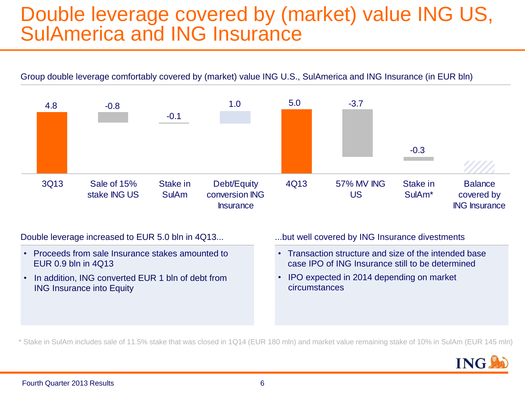### Double leverage covered by (market) value ING US, SulAmerica and ING Insurance

Group double leverage comfortably covered by (market) value ING U.S., SulAmerica and ING Insurance (in EUR bln)



Double leverage increased to EUR 5.0 bln in 4Q13...

- Proceeds from sale Insurance stakes amounted to EUR 0.9 bln in 4Q13
- In addition, ING converted EUR 1 bln of debt from ING Insurance into Equity

...but well covered by ING Insurance divestments

- Transaction structure and size of the intended base case IPO of ING Insurance still to be determined
- IPO expected in 2014 depending on market circumstances

\* Stake in SulAm includes sale of 11.5% stake that was closed in 1Q14 (EUR 180 mln) and market value remaining stake of 10% in SulAm (EUR 145 mln)

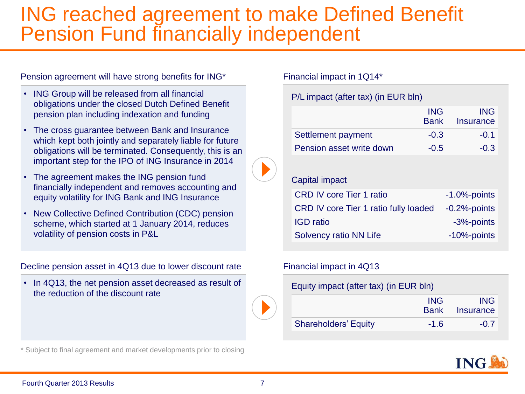### ING reached agreement to make Defined Benefit Pension Fund financially independent

Pension agreement will have strong benefits for ING\*

- ING Group will be released from all financial obligations under the closed Dutch Defined Benefit pension plan including indexation and funding
- The cross guarantee between Bank and Insurance which kept both jointly and separately liable for future obligations will be terminated. Consequently, this is an important step for the IPO of ING Insurance in 2014
- The agreement makes the ING pension fund financially independent and removes accounting and equity volatility for ING Bank and ING Insurance
- New Collective Defined Contribution (CDC) pension scheme, which started at 1 January 2014, reduces volatility of pension costs in P&L

Decline pension asset in 4Q13 due to lower discount rate

• In 4Q13, the net pension asset decreased as result of the reduction of the discount rate

Financial impact in 1Q14\*

P/L impact (after tax) (in EUR bln)

|                          | <b>ING</b><br>Bank | ING<br>Insurance |
|--------------------------|--------------------|------------------|
| Settlement payment       | $-0.3$             | $-0.1$           |
| Pension asset write down | $-0.5$             | $-0.3$           |

### Capital impact

| <b>CRD IV core Tier 1 ratio</b>       | $-1.0\%$ -points |
|---------------------------------------|------------------|
| CRD IV core Tier 1 ratio fully loaded | $-0.2%$ -points  |
| <b>IGD</b> ratio                      | -3%-points       |
| Solvency ratio NN Life                | -10%-points      |

### Financial impact in 4Q13

Equity impact (after tax) (in EUR bln)

|                             | <b>ING</b> | <b>ING</b><br><b>Bank</b> Insurance |
|-----------------------------|------------|-------------------------------------|
| <b>Shareholders' Equity</b> | $-1.6$     | $-0.7$                              |



\* Subject to final agreement and market developments prior to closing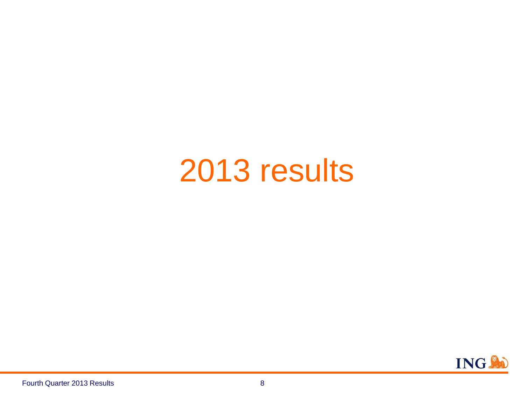# 2013 results

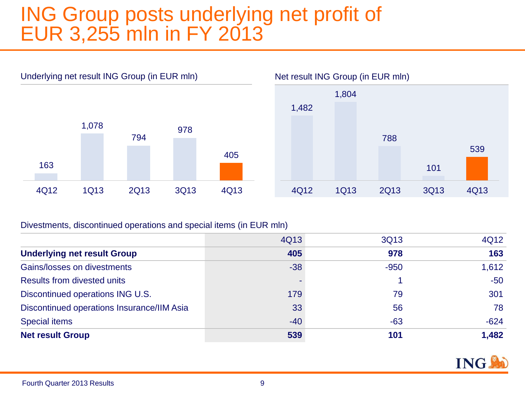## ING Group posts underlying net profit of EUR 3,255 mln in FY 2013





### Divestments, discontinued operations and special items (in EUR mln)

|                                            | 4Q13  | 3Q13   | 4Q12   |
|--------------------------------------------|-------|--------|--------|
| <b>Underlying net result Group</b>         | 405   | 978    | 163    |
| Gains/losses on divestments                | $-38$ | $-950$ | 1,612  |
| <b>Results from divested units</b>         |       |        | $-50$  |
| Discontinued operations ING U.S.           | 179   | 79     | 301    |
| Discontinued operations Insurance/IIM Asia | 33    | 56     | 78     |
| <b>Special items</b>                       | $-40$ | $-63$  | $-624$ |
| <b>Net result Group</b>                    | 539   | 101    | 1,482  |



### Fourth Quarter 2013 Results 9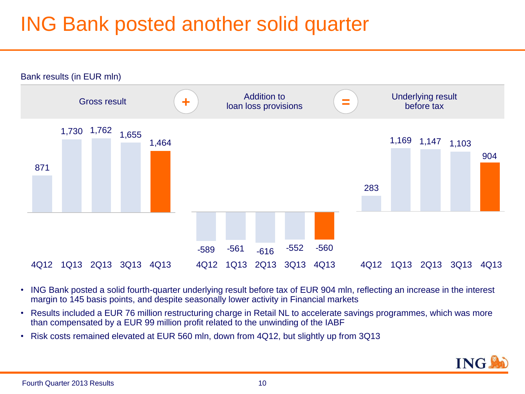## ING Bank posted another solid quarter



- ING Bank posted a solid fourth-quarter underlying result before tax of EUR 904 mln, reflecting an increase in the interest margin to 145 basis points, and despite seasonally lower activity in Financial markets
- Results included a EUR 76 million restructuring charge in Retail NL to accelerate savings programmes, which was more than compensated by a EUR 99 million profit related to the unwinding of the IABF
- Risk costs remained elevated at EUR 560 mln, down from 4Q12, but slightly up from 3Q13

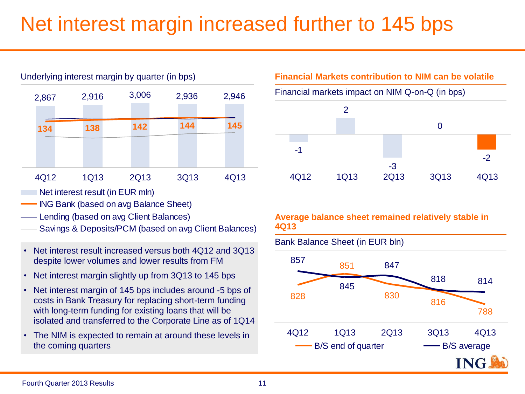## Net interest margin increased further to 145 bps



- Net interest result (in EUR mln)
- ING Bank (based on avg Balance Sheet)
- Lending (based on avg Client Balances)
- Savings & Deposits/PCM (based on avg Client Balances)
- Net interest result increased versus both 4Q12 and 3Q13 despite lower volumes and lower results from FM
- Net interest margin slightly up from 3Q13 to 145 bps
- Net interest margin of 145 bps includes around -5 bps of costs in Bank Treasury for replacing short-term funding with long-term funding for existing loans that will be isolated and transferred to the Corporate Line as of 1Q14
- The NIM is expected to remain at around these levels in



### **Average balance sheet remained relatively stable in 4Q13**

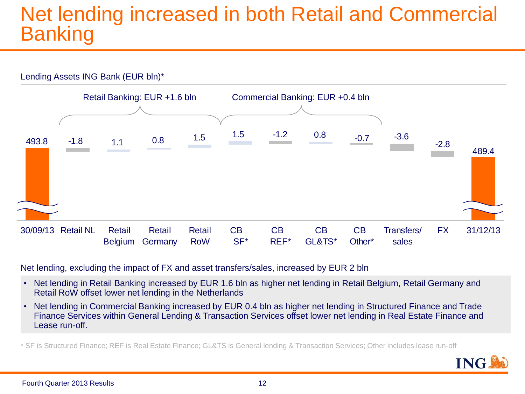## Net lending increased in both Retail and Commercial Banking



Net lending, excluding the impact of FX and asset transfers/sales, increased by EUR 2 bln

- Net lending in Retail Banking increased by EUR 1.6 bln as higher net lending in Retail Belgium, Retail Germany and Retail RoW offset lower net lending in the Netherlands
- Net lending in Commercial Banking increased by EUR 0.4 bln as higher net lending in Structured Finance and Trade Finance Services within General Lending & Transaction Services offset lower net lending in Real Estate Finance and Lease run-off.

\* SF is Structured Finance; REF is Real Estate Finance; GL&TS is General lending & Transaction Services; Other includes lease run-off

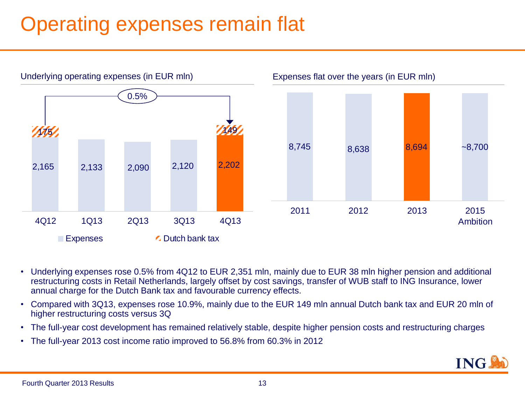## Operating expenses remain flat



- Underlying expenses rose 0.5% from 4Q12 to EUR 2,351 mln, mainly due to EUR 38 mln higher pension and additional restructuring costs in Retail Netherlands, largely offset by cost savings, transfer of WUB staff to ING Insurance, lower annual charge for the Dutch Bank tax and favourable currency effects.
- Compared with 3Q13, expenses rose 10.9%, mainly due to the EUR 149 mln annual Dutch bank tax and EUR 20 mln of higher restructuring costs versus 3Q
- The full-year cost development has remained relatively stable, despite higher pension costs and restructuring charges
- The full-year 2013 cost income ratio improved to 56.8% from 60.3% in 2012

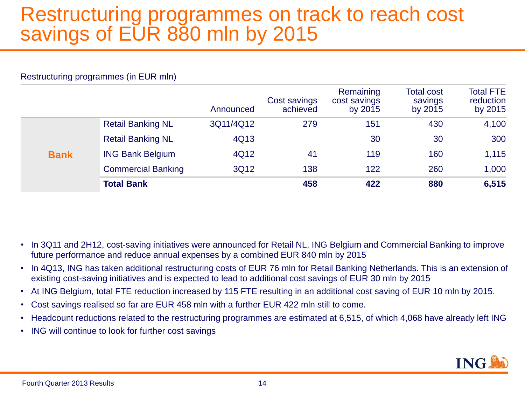## Restructuring programmes on track to reach cost savings of EUR 880 mln by 2015

### Restructuring programmes (in EUR mln)

|             |                           | Announced | Cost savings<br>achieved | Remaining<br>cost savings<br>by 2015 | <b>Total cost</b><br>savings<br>by 2015 | <b>Total FTE</b><br>reduction<br>by 2015 |
|-------------|---------------------------|-----------|--------------------------|--------------------------------------|-----------------------------------------|------------------------------------------|
|             | <b>Retail Banking NL</b>  | 3Q11/4Q12 | 279                      | 151                                  | 430                                     | 4,100                                    |
|             | <b>Retail Banking NL</b>  | 4Q13      |                          | 30                                   | 30                                      | 300                                      |
| <b>Bank</b> | <b>ING Bank Belgium</b>   | 4Q12      | 41                       | 119                                  | 160                                     | 1,115                                    |
|             | <b>Commercial Banking</b> | 3Q12      | 138                      | 122                                  | 260                                     | 1,000                                    |
|             | <b>Total Bank</b>         |           | 458                      | 422                                  | 880                                     | 6,515                                    |

- In 3Q11 and 2H12, cost-saving initiatives were announced for Retail NL, ING Belgium and Commercial Banking to improve future performance and reduce annual expenses by a combined EUR 840 mln by 2015
- In 4Q13, ING has taken additional restructuring costs of EUR 76 mln for Retail Banking Netherlands. This is an extension of existing cost-saving initiatives and is expected to lead to additional cost savings of EUR 30 mln by 2015
- At ING Belgium, total FTE reduction increased by 115 FTE resulting in an additional cost saving of EUR 10 mln by 2015.
- Cost savings realised so far are EUR 458 mln with a further EUR 422 mln still to come.
- Headcount reductions related to the restructuring programmes are estimated at 6,515, of which 4,068 have already left ING
- ING will continue to look for further cost savings

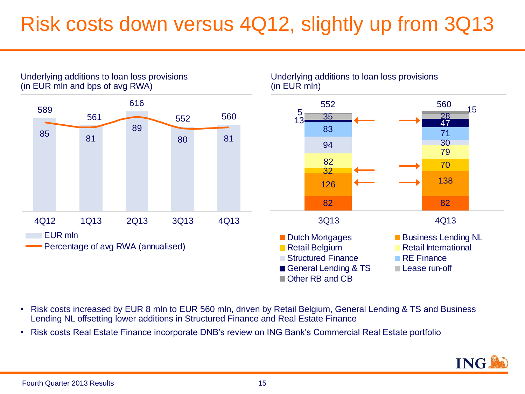## Risk costs down versus 4Q12, slightly up from 3Q13

Underlying additions to loan loss provisions



Underlying additions to loan loss provisions

- Risk costs increased by EUR 8 mln to EUR 560 mln, driven by Retail Belgium, General Lending & TS and Business Lending NL offsetting lower additions in Structured Finance and Real Estate Finance
- Risk costs Real Estate Finance incorporate DNB's review on ING Bank's Commercial Real Estate portfolio

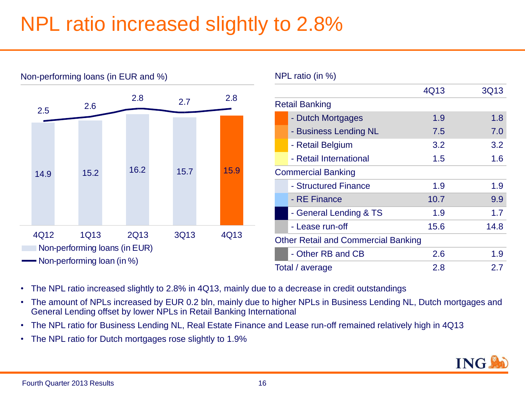## NPL ratio increased slightly to 2.8%



Non-performing loans (in EUR and %)

- The NPL ratio increased slightly to 2.8% in 4Q13, mainly due to a decrease in credit outstandings
- The amount of NPLs increased by EUR 0.2 bln, mainly due to higher NPLs in Business Lending NL, Dutch mortgages and General Lending offset by lower NPLs in Retail Banking International
- The NPL ratio for Business Lending NL, Real Estate Finance and Lease run-off remained relatively high in 4Q13
- The NPL ratio for Dutch mortgages rose slightly to 1.9%

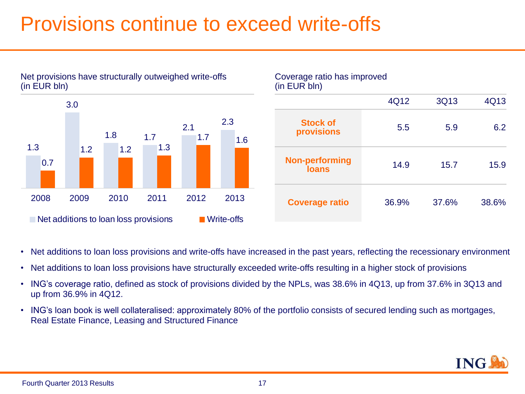## Provisions continue to exceed write-offs



### Net provisions have structurally outweighed write-offs (in EUR bln)



- Net additions to loan loss provisions and write-offs have increased in the past years, reflecting the recessionary environment
- Net additions to loan loss provisions have structurally exceeded write-offs resulting in a higher stock of provisions
- ING's coverage ratio, defined as stock of provisions divided by the NPLs, was 38.6% in 4Q13, up from 37.6% in 3Q13 and up from 36.9% in 4Q12.
- ING's loan book is well collateralised: approximately 80% of the portfolio consists of secured lending such as mortgages, Real Estate Finance, Leasing and Structured Finance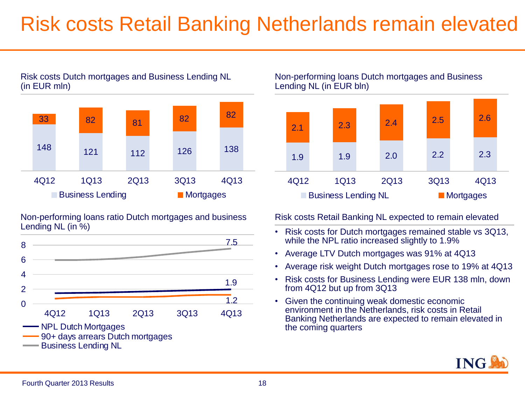## Risk costs Retail Banking Netherlands remain elevated



### Risk costs Dutch mortgages and Business Lending NL (in EUR mln)

Non-performing loans ratio Dutch mortgages and business Lending NL (in %)



Non-performing loans Dutch mortgages and Business Lending NL (in EUR bln)



Risk costs Retail Banking NL expected to remain elevated

- Risk costs for Dutch mortgages remained stable vs 3Q13, while the NPL ratio increased slightly to 1.9%
- Average LTV Dutch mortgages was 91% at 4Q13
- Average risk weight Dutch mortgages rose to 19% at 4Q13
- Risk costs for Business Lending were EUR 138 mln, down from 4Q12 but up from 3Q13
- Given the continuing weak domestic economic environment in the Netherlands, risk costs in Retail Banking Netherlands are expected to remain elevated in the coming quarters

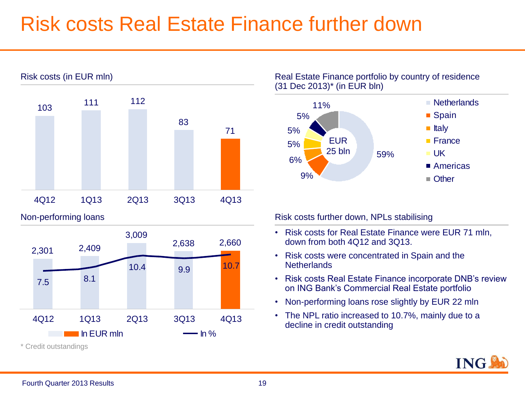## Risk costs Real Estate Finance further down



\* Credit outstandings

### Real Estate Finance portfolio by country of residence (31 Dec 2013)\* (in EUR bln)



- Risk costs for Real Estate Finance were EUR 71 mln, down from both 4Q12 and 3Q13.
- Risk costs were concentrated in Spain and the **Netherlands**
- Risk costs Real Estate Finance incorporate DNB's review on ING Bank's Commercial Real Estate portfolio
- Non-performing loans rose slightly by EUR 22 mln
- The NPL ratio increased to 10.7%, mainly due to a decline in credit outstanding

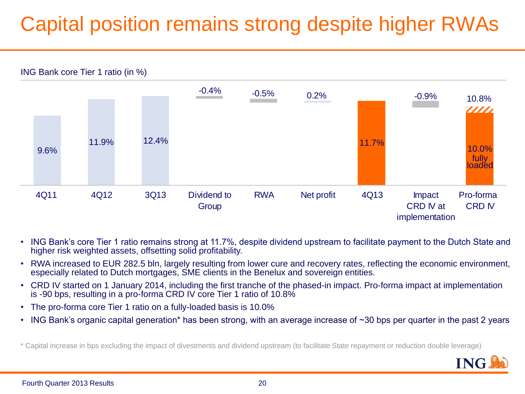## Capital position remains strong despite higher RWAs



- ING Bank's core Tier 1 ratio remains strong at 11.7%, despite dividend upstream to facilitate payment to the Dutch State and higher risk weighted assets, offsetting solid profitability.
- RWA increased to EUR 282.5 bln, largely resulting from lower cure and recovery rates, reflecting the economic environment, especially related to Dutch mortgages, SME clients in the Benelux and sovereign entities.
- CRD IV started on 1 January 2014, including the first tranche of the phased-in impact. Pro-forma impact at implementation is -90 bps, resulting in a pro-forma CRD IV core Tier 1 ratio of 10.8%
- The pro-forma core Tier 1 ratio on a fully-loaded basis is 10.0%
- ING Bank's organic capital generation\* has been strong, with an average increase of ~30 bps per quarter in the past 2 years

\* Capital increase in bps excluding the impact of divestments and dividend upstream (to facilitate State repayment or reduction double leverage)

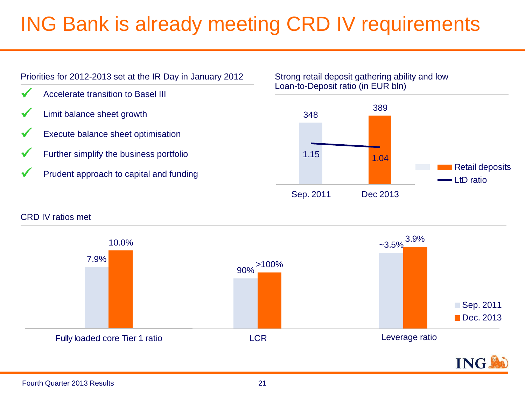## ING Bank is already meeting CRD IV requirements



### Strong retail deposit gathering ability and low Loan-to-Deposit ratio (in EUR bln)



### CRD IV ratios met

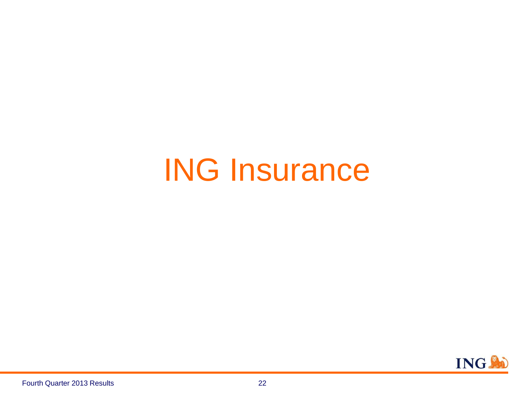# ING Insurance

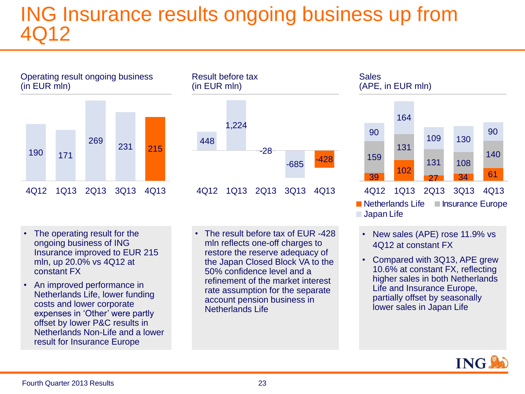## ING Insurance results ongoing business up from 4Q12

Operating result ongoing business (in EUR mln)



Result before tax (in EUR mln)



- The operating result for the ongoing business of ING Insurance improved to EUR 215 mln, up 20.0% vs 4Q12 at constant FX
- An improved performance in Netherlands Life, lower funding costs and lower corporate expenses in 'Other' were partly offset by lower P&C results in Netherlands Non-Life and a lower result for Insurance Europe
- The result before tax of EUR -428 mln reflects one-off charges to restore the reserve adequacy of the Japan Closed Block VA to the 50% confidence level and a refinement of the market interest rate assumption for the separate account pension business in Netherlands Life

### 39 102 <sup>27</sup> <sup>34</sup> <sup>61</sup> 159 131 131 108 140 90 164 109 130 90 4Q12 1Q13 2Q13 3Q13 4Q13  $\blacksquare$  Netherlands Life  $\blacksquare$  Insurance Europe **Sales** (APE, in EUR mln)

**Japan Life** 

- New sales (APE) rose 11.9% vs 4Q12 at constant FX
- Compared with 3Q13, APE grew 10.6% at constant FX, reflecting higher sales in both Netherlands Life and Insurance Europe, partially offset by seasonally lower sales in Japan Life

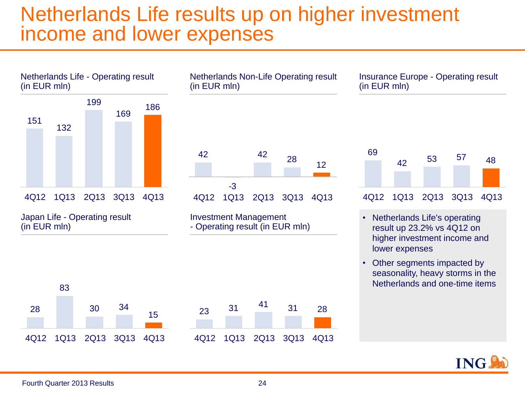### Netherlands Life results up on higher investment income and lower expenses



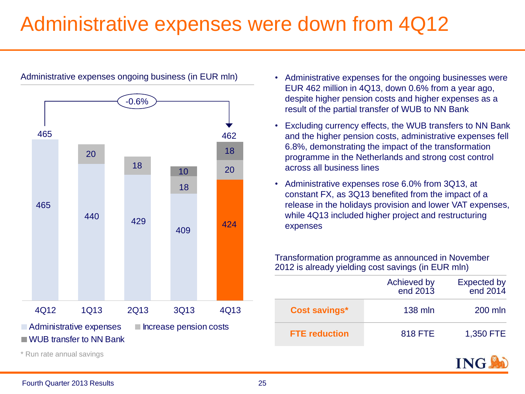## Administrative expenses were down from 4Q12



Administrative expenses ongoing business (in EUR mln)

- Administrative expenses for the ongoing businesses were EUR 462 million in 4Q13, down 0.6% from a year ago, despite higher pension costs and higher expenses as a result of the partial transfer of WUB to NN Bank
- Excluding currency effects, the WUB transfers to NN Bank and the higher pension costs, administrative expenses fell 6.8%, demonstrating the impact of the transformation programme in the Netherlands and strong cost control across all business lines
- Administrative expenses rose 6.0% from 3Q13, at constant FX, as 3Q13 benefited from the impact of a release in the holidays provision and lower VAT expenses, while 4Q13 included higher project and restructuring expenses

Transformation programme as announced in November 2012 is already yielding cost savings (in EUR mln)

|                      | Achieved by<br>end 2013 | <b>Expected by</b><br>end 2014 |
|----------------------|-------------------------|--------------------------------|
| <b>Cost savings*</b> | 138 mln                 | 200 mln                        |
| <b>FTE</b> reduction | 818 FTE                 | 1,350 FTE                      |



\* Run rate annual savings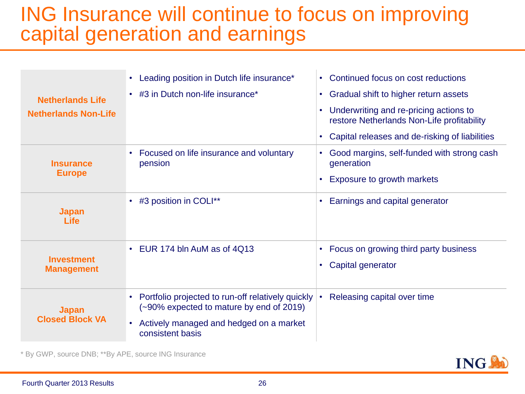## ING Insurance will continue to focus on improving capital generation and earnings

| <b>Netherlands Life</b><br><b>Netherlands Non-Life</b> | Leading position in Dutch life insurance*<br>• #3 in Dutch non-life insurance*                                                                                                         | Continued focus on cost reductions<br>$\bullet$<br>Gradual shift to higher return assets<br>$\bullet$<br>Underwriting and re-pricing actions to<br>restore Netherlands Non-Life profitability<br>Capital releases and de-risking of liabilities |
|--------------------------------------------------------|----------------------------------------------------------------------------------------------------------------------------------------------------------------------------------------|-------------------------------------------------------------------------------------------------------------------------------------------------------------------------------------------------------------------------------------------------|
| <b>Insurance</b><br><b>Europe</b>                      | Focused on life insurance and voluntary<br>pension                                                                                                                                     | Good margins, self-funded with strong cash<br>generation<br>Exposure to growth markets                                                                                                                                                          |
| <b>Japan</b><br>Life                                   | • #3 position in COLI**                                                                                                                                                                | Earnings and capital generator                                                                                                                                                                                                                  |
| <b>Investment</b><br><b>Management</b>                 | • EUR 174 bln AuM as of 4Q13                                                                                                                                                           | Focus on growing third party business<br>Capital generator                                                                                                                                                                                      |
| <b>Japan</b><br><b>Closed Block VA</b>                 | Portfolio projected to run-off relatively quickly<br>$\bullet$<br>(~90% expected to mature by end of 2019)<br>Actively managed and hedged on a market<br>$\bullet$<br>consistent basis | Releasing capital over time<br>$\bullet$                                                                                                                                                                                                        |

\* By GWP, source DNB; \*\*By APE, source ING Insurance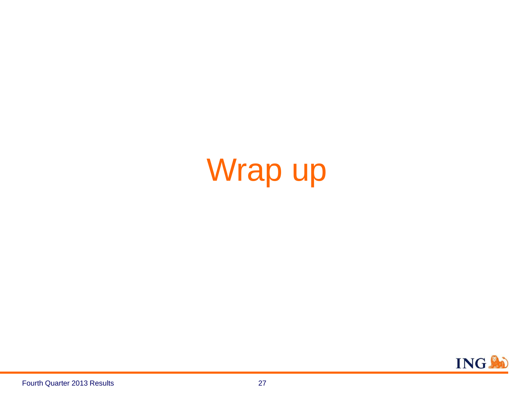# Wrap up

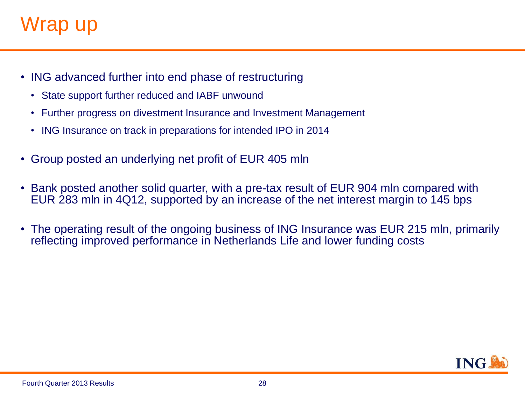## Wrap up

- ING advanced further into end phase of restructuring
	- State support further reduced and IABF unwound
	- Further progress on divestment Insurance and Investment Management
	- ING Insurance on track in preparations for intended IPO in 2014
- Group posted an underlying net profit of EUR 405 mln
- Bank posted another solid quarter, with a pre-tax result of EUR 904 mln compared with EUR 283 mln in 4Q12, supported by an increase of the net interest margin to 145 bps
- The operating result of the ongoing business of ING Insurance was EUR 215 mln, primarily reflecting improved performance in Netherlands Life and lower funding costs

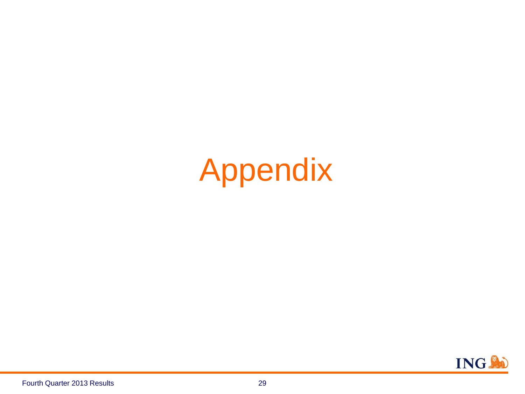# Appendix

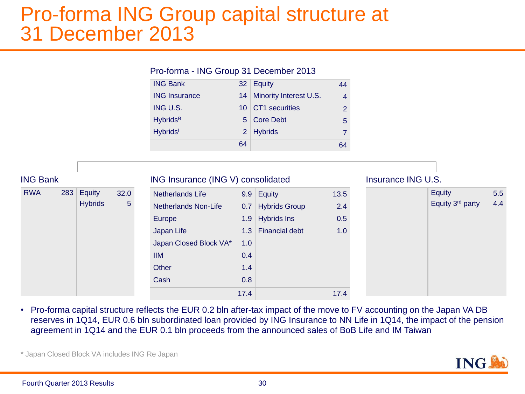### Pro-forma ING Group capital structure at 31 December 2013

|                 |     |                |             | Pro-forma - ING Group 31 December 2013 |                |                        |                |                    |                  |     |
|-----------------|-----|----------------|-------------|----------------------------------------|----------------|------------------------|----------------|--------------------|------------------|-----|
|                 |     |                |             | <b>ING Bank</b>                        |                | 32 Equity              | 44             |                    |                  |     |
|                 |     |                |             | <b>ING Insurance</b>                   | 14             | Minority Interest U.S. | $\overline{4}$ |                    |                  |     |
|                 |     |                |             | ING U.S.                               | 10             | CT1 securities         | $\overline{2}$ |                    |                  |     |
|                 |     |                |             | <b>Hybrids</b> <sup>B</sup>            | 5 <sup>1</sup> | <b>Core Debt</b>       | 5              |                    |                  |     |
|                 |     |                |             | <b>Hybrids</b>                         | $\overline{2}$ | <b>Hybrids</b>         |                |                    |                  |     |
|                 |     |                |             |                                        | 64             |                        | 64             |                    |                  |     |
|                 |     |                |             |                                        |                |                        |                |                    |                  |     |
|                 |     |                |             |                                        |                |                        |                |                    |                  |     |
| <b>ING Bank</b> |     |                |             | ING Insurance (ING V) consolidated     |                |                        |                | Insurance ING U.S. |                  |     |
| <b>RWA</b>      | 283 | Equity         | 32.0        | Netherlands Life                       | 9.9            | Equity                 | 13.5           |                    | Equity           | 5.5 |
|                 |     | <b>Hybrids</b> | $5^{\circ}$ | Netherlands Non-Life                   | 0.7            | <b>Hybrids Group</b>   | 2.4            |                    | Equity 3rd party | 4.4 |
|                 |     |                |             | Europe                                 | 1.9            | <b>Hybrids Ins</b>     | 0.5            |                    |                  |     |
|                 |     |                |             | Japan Life                             | 1.3            | Financial debt         | 1.0            |                    |                  |     |
|                 |     |                |             | Japan Closed Block VA*                 | 1.0            |                        |                |                    |                  |     |
|                 |     |                |             | <b>IIM</b>                             | 0.4            |                        |                |                    |                  |     |
|                 |     |                |             | Other                                  | 1.4            |                        |                |                    |                  |     |
|                 |     |                |             | Cash                                   | 0.8            |                        |                |                    |                  |     |
|                 |     |                |             |                                        | 17.4           |                        | 17.4           |                    |                  |     |

• Pro-forma capital structure reflects the EUR 0.2 bln after-tax impact of the move to FV accounting on the Japan VA DB reserves in 1Q14, EUR 0.6 bln subordinated loan provided by ING Insurance to NN Life in 1Q14, the impact of the pension agreement in 1Q14 and the EUR 0.1 bln proceeds from the announced sales of BoB Life and IM Taiwan

\* Japan Closed Block VA includes ING Re Japan

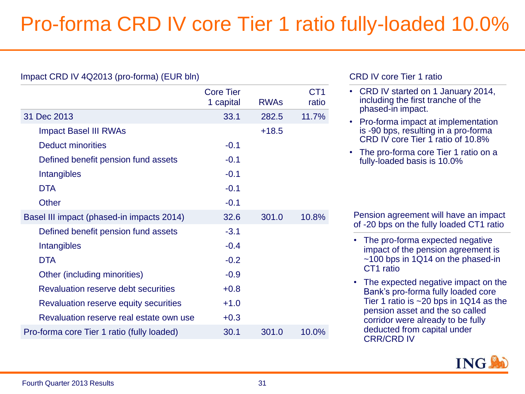## Pro-forma CRD IV core Tier 1 ratio fully-loaded 10.0%

|                                            | <b>Core Tier</b><br>1 capital | <b>RWAs</b> | CT <sub>1</sub><br>ratio |
|--------------------------------------------|-------------------------------|-------------|--------------------------|
| 31 Dec 2013                                | 33.1                          | 282.5       | 11.7%                    |
| <b>Impact Basel III RWAs</b>               |                               | $+18.5$     |                          |
| <b>Deduct minorities</b>                   | $-0.1$                        |             |                          |
| Defined benefit pension fund assets        | $-0.1$                        |             |                          |
| Intangibles                                | $-0.1$                        |             |                          |
| <b>DTA</b>                                 | $-0.1$                        |             |                          |
| Other                                      | $-0.1$                        |             |                          |
| Basel III impact (phased-in impacts 2014)  | 32.6                          | 301.0       | 10.8%                    |
| Defined benefit pension fund assets        | $-3.1$                        |             |                          |
| Intangibles                                | $-0.4$                        |             |                          |
| <b>DTA</b>                                 | $-0.2$                        |             |                          |
| Other (including minorities)               | $-0.9$                        |             |                          |
| Revaluation reserve debt securities        | $+0.8$                        |             |                          |
| Revaluation reserve equity securities      | $+1.0$                        |             |                          |
| Revaluation reserve real estate own use    | $+0.3$                        |             |                          |
| Pro-forma core Tier 1 ratio (fully loaded) | 30.1                          | 301.0       | 10.0%                    |

### CRD IV core Tier 1 ratio

- CRD IV started on 1 January 2014, including the first tranche of the phased-in impact.
- Pro-forma impact at implementation is -90 bps, resulting in a pro-forma CRD IV core Tier 1 ratio of 10.8%
- The pro-forma core Tier 1 ratio on a fully-loaded basis is 10.0%

Pension agreement will have an impact of -20 bps on the fully loaded CT1 ratio

- The pro-forma expected negative impact of the pension agreement is ~100 bps in 1Q14 on the phased-in CT1 ratio
- The expected negative impact on the Bank's pro-forma fully loaded core Tier 1 ratio is ~20 bps in 1Q14 as the pension asset and the so called corridor were already to be fully deducted from capital under CRR/CRD IV

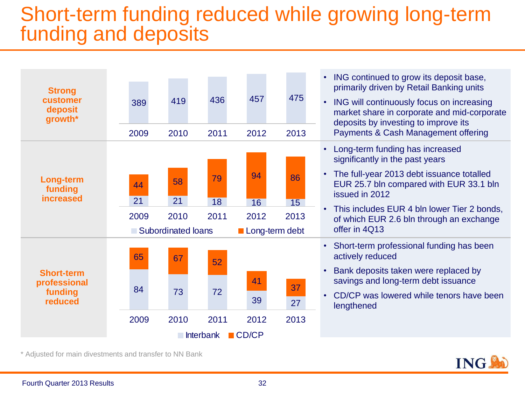## Short-term funding reduced while growing long-term funding and deposits



\* Adjusted for main divestments and transfer to NN Bank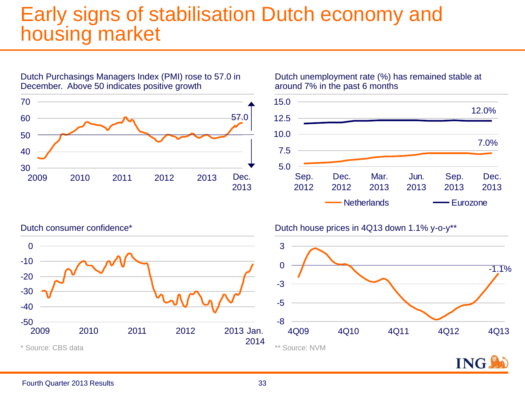### Early signs of stabilisation Dutch economy and housing market



Dutch Purchasings Managers Index (PMI) rose to 57.0 in

Dutch unemployment rate (%) has remained stable at around 7% in the past 6 months



### Dutch consumer confidence\* Dutch house prices in 4Q13 down 1.1% y-o-y\*\*